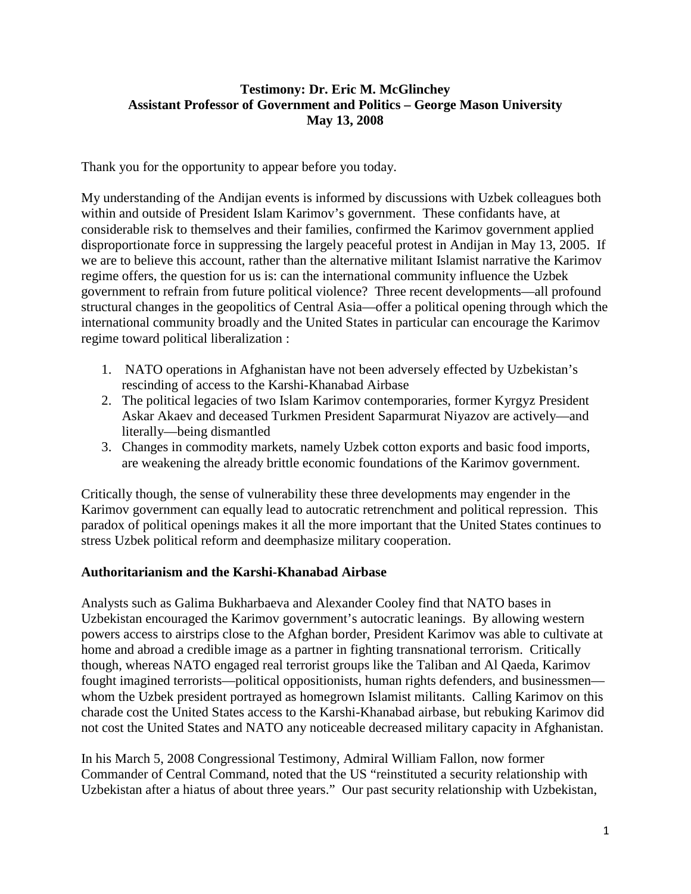## **Testimony: Dr. Eric M. McGlinchey Assistant Professor of Government and Politics – George Mason University May 13, 2008**

Thank you for the opportunity to appear before you today.

My understanding of the Andijan events is informed by discussions with Uzbek colleagues both within and outside of President Islam Karimov's government. These confidants have, at considerable risk to themselves and their families, confirmed the Karimov government applied disproportionate force in suppressing the largely peaceful protest in Andijan in May 13, 2005. If we are to believe this account, rather than the alternative militant Islamist narrative the Karimov regime offers, the question for us is: can the international community influence the Uzbek government to refrain from future political violence? Three recent developments—all profound structural changes in the geopolitics of Central Asia—offer a political opening through which the international community broadly and the United States in particular can encourage the Karimov regime toward political liberalization :

- 1. NATO operations in Afghanistan have not been adversely effected by Uzbekistan's rescinding of access to the Karshi-Khanabad Airbase
- 2. The political legacies of two Islam Karimov contemporaries, former Kyrgyz President Askar Akaev and deceased Turkmen President Saparmurat Niyazov are actively—and literally—being dismantled
- 3. Changes in commodity markets, namely Uzbek cotton exports and basic food imports, are weakening the already brittle economic foundations of the Karimov government.

Critically though, the sense of vulnerability these three developments may engender in the Karimov government can equally lead to autocratic retrenchment and political repression. This paradox of political openings makes it all the more important that the United States continues to stress Uzbek political reform and deemphasize military cooperation.

## **Authoritarianism and the Karshi-Khanabad Airbase**

Analysts such as Galima Bukharbaeva and Alexander Cooley find that NATO bases in Uzbekistan encouraged the Karimov government's autocratic leanings. By allowing western powers access to airstrips close to the Afghan border, President Karimov was able to cultivate at home and abroad a credible image as a partner in fighting transnational terrorism. Critically though, whereas NATO engaged real terrorist groups like the Taliban and Al Qaeda, Karimov fought imagined terrorists—political oppositionists, human rights defenders, and businessmen whom the Uzbek president portrayed as homegrown Islamist militants. Calling Karimov on this charade cost the United States access to the Karshi-Khanabad airbase, but rebuking Karimov did not cost the United States and NATO any noticeable decreased military capacity in Afghanistan.

In his March 5, 2008 Congressional Testimony, Admiral William Fallon, now former Commander of Central Command, noted that the US "reinstituted a security relationship with Uzbekistan after a hiatus of about three years." Our past security relationship with Uzbekistan,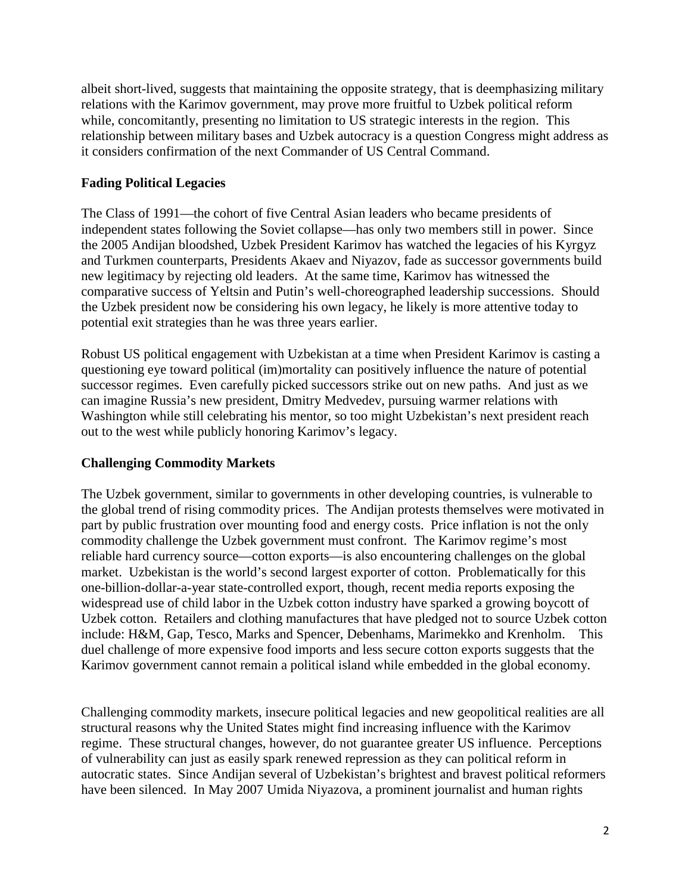albeit short-lived, suggests that maintaining the opposite strategy, that is deemphasizing military relations with the Karimov government, may prove more fruitful to Uzbek political reform while, concomitantly, presenting no limitation to US strategic interests in the region. This relationship between military bases and Uzbek autocracy is a question Congress might address as it considers confirmation of the next Commander of US Central Command.

## **Fading Political Legacies**

The Class of 1991—the cohort of five Central Asian leaders who became presidents of independent states following the Soviet collapse—has only two members still in power. Since the 2005 Andijan bloodshed, Uzbek President Karimov has watched the legacies of his Kyrgyz and Turkmen counterparts, Presidents Akaev and Niyazov, fade as successor governments build new legitimacy by rejecting old leaders. At the same time, Karimov has witnessed the comparative success of Yeltsin and Putin's well-choreographed leadership successions. Should the Uzbek president now be considering his own legacy, he likely is more attentive today to potential exit strategies than he was three years earlier.

Robust US political engagement with Uzbekistan at a time when President Karimov is casting a questioning eye toward political (im)mortality can positively influence the nature of potential successor regimes. Even carefully picked successors strike out on new paths. And just as we can imagine Russia's new president, Dmitry Medvedev, pursuing warmer relations with Washington while still celebrating his mentor, so too might Uzbekistan's next president reach out to the west while publicly honoring Karimov's legacy.

## **Challenging Commodity Markets**

The Uzbek government, similar to governments in other developing countries, is vulnerable to the global trend of rising commodity prices. The Andijan protests themselves were motivated in part by public frustration over mounting food and energy costs. Price inflation is not the only commodity challenge the Uzbek government must confront. The Karimov regime's most reliable hard currency source—cotton exports—is also encountering challenges on the global market. Uzbekistan is the world's second largest exporter of cotton. Problematically for this one-billion-dollar-a-year state-controlled export, though, recent media reports exposing the widespread use of child labor in the Uzbek cotton industry have sparked a growing boycott of Uzbek cotton. Retailers and clothing manufactures that have pledged not to source Uzbek cotton include: H&M, Gap, Tesco, Marks and Spencer, Debenhams, Marimekko and Krenholm. This duel challenge of more expensive food imports and less secure cotton exports suggests that the Karimov government cannot remain a political island while embedded in the global economy.

Challenging commodity markets, insecure political legacies and new geopolitical realities are all structural reasons why the United States might find increasing influence with the Karimov regime. These structural changes, however, do not guarantee greater US influence. Perceptions of vulnerability can just as easily spark renewed repression as they can political reform in autocratic states. Since Andijan several of Uzbekistan's brightest and bravest political reformers have been silenced. In May 2007 Umida Niyazova, a prominent journalist and human rights